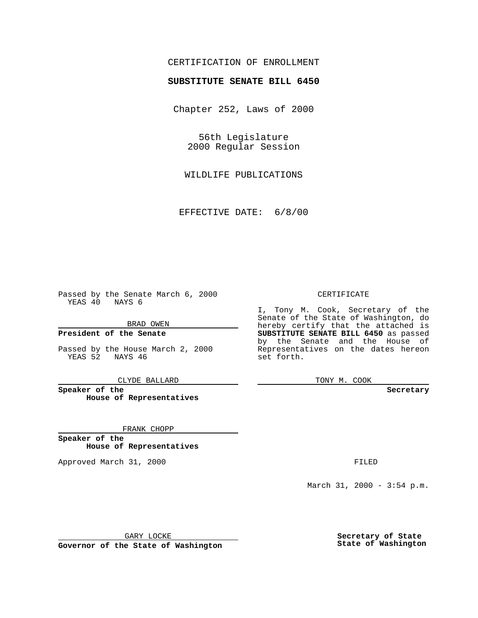## CERTIFICATION OF ENROLLMENT

## **SUBSTITUTE SENATE BILL 6450**

Chapter 252, Laws of 2000

56th Legislature 2000 Regular Session

WILDLIFE PUBLICATIONS

EFFECTIVE DATE: 6/8/00

Passed by the Senate March 6, 2000 YEAS 40 NAYS 6

BRAD OWEN

**President of the Senate**

Passed by the House March 2, 2000 YEAS 52 NAYS 46

CLYDE BALLARD

**Speaker of the House of Representatives**

FRANK CHOPP

**Speaker of the House of Representatives**

Approved March 31, 2000 FILED

#### CERTIFICATE

I, Tony M. Cook, Secretary of the Senate of the State of Washington, do hereby certify that the attached is **SUBSTITUTE SENATE BILL 6450** as passed by the Senate and the House of Representatives on the dates hereon set forth.

TONY M. COOK

**Secretary**

March 31, 2000 - 3:54 p.m.

GARY LOCKE

**Governor of the State of Washington**

**Secretary of State State of Washington**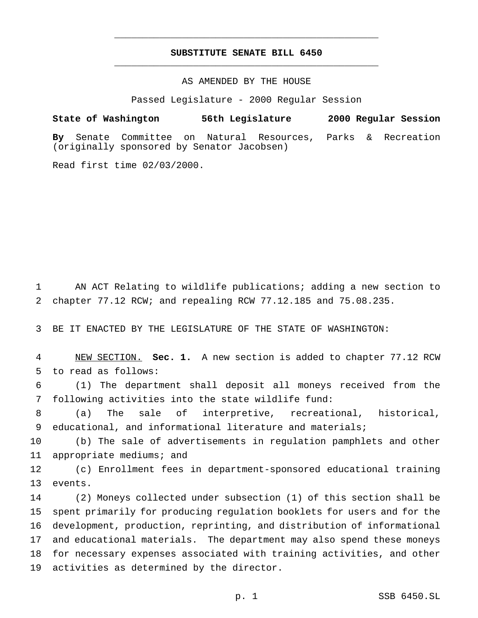## **SUBSTITUTE SENATE BILL 6450** \_\_\_\_\_\_\_\_\_\_\_\_\_\_\_\_\_\_\_\_\_\_\_\_\_\_\_\_\_\_\_\_\_\_\_\_\_\_\_\_\_\_\_\_\_\_\_

\_\_\_\_\_\_\_\_\_\_\_\_\_\_\_\_\_\_\_\_\_\_\_\_\_\_\_\_\_\_\_\_\_\_\_\_\_\_\_\_\_\_\_\_\_\_\_

#### AS AMENDED BY THE HOUSE

Passed Legislature - 2000 Regular Session

# **State of Washington 56th Legislature 2000 Regular Session By** Senate Committee on Natural Resources, Parks & Recreation (originally sponsored by Senator Jacobsen)

Read first time 02/03/2000.

 AN ACT Relating to wildlife publications; adding a new section to chapter 77.12 RCW; and repealing RCW 77.12.185 and 75.08.235.

BE IT ENACTED BY THE LEGISLATURE OF THE STATE OF WASHINGTON:

 NEW SECTION. **Sec. 1.** A new section is added to chapter 77.12 RCW to read as follows:

 (1) The department shall deposit all moneys received from the following activities into the state wildlife fund:

 (a) The sale of interpretive, recreational, historical, educational, and informational literature and materials;

 (b) The sale of advertisements in regulation pamphlets and other appropriate mediums; and

 (c) Enrollment fees in department-sponsored educational training events.

 (2) Moneys collected under subsection (1) of this section shall be spent primarily for producing regulation booklets for users and for the development, production, reprinting, and distribution of informational and educational materials. The department may also spend these moneys for necessary expenses associated with training activities, and other activities as determined by the director.